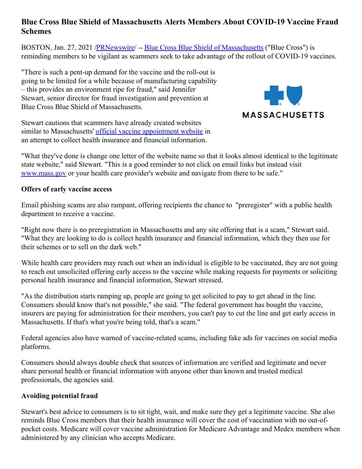# **Blue Cross Blue Shield of Massachusetts Alerts Members About COVID-19 Vaccine Fraud Schemes**

BOSTON, Jan. 27, 2021 [/PRNewswire](http://www.prnewswire.com/)/ -- Blue Cross Blue Shield of [Massachusetts](https://c212.net/c/link/?t=0&l=en&o=3049458-1&h=567169046&u=http%3A%2F%2Fwww.bluecrossma.com%2F&a=Blue+Cross+Blue+Shield+of+Massachusetts) ("Blue Cross") is reminding members to be vigilant as scammers seek to take advantage of the rollout of COVID-19 vaccines.

"There is such a pent-up demand for the vaccine and the roll-out is going to be limited for a while because of manufacturing capability – this provides an environment ripe for fraud," said Jennifer Stewart, senior director for fraud investigation and prevention at Blue Cross Blue Shield of Massachusetts.

Stewart cautions that scammers have already created websites similar to Massachusetts' official vaccine [appointment](https://c212.net/c/link/?t=0&l=en&o=3049458-1&h=4105547858&u=https%3A%2F%2Fwww.mass.gov%2Finfo-details%2Fcovid-19-vaccination-locations-for-individuals-in-eligible-groups-and-phases&a=official+vaccine+appointment+website) website in an attempt to collect health insurance and financial information.



"What they've done is change one letter of the website name so that it looks almost identical to the legitimate state website," said Stewart. "This is a good reminder to not click on email links but instead visit [www.mass.gov](https://c212.net/c/link/?t=0&l=en&o=3049458-1&h=4290796353&u=http%3A%2F%2Fwww.mass.gov%2F&a=www.mass.gov) or your health care provider's website and navigate from there to be safe."

#### **Offers of early vaccine access**

Email phishing scams are also rampant, offering recipients the chance to "preregister" with a public health department to receive a vaccine.

"Right now there is no preregistration in Massachusetts and any site offering that is a scam," Stewart said. "What they are looking to do is collect health insurance and financial information, which they then use for their schemes or to sell on the dark web."

While health care providers may reach out when an individual is eligible to be vaccinated, they are not going to reach out unsolicited offering early access to the vaccine while making requests for payments or soliciting personal health insurance and financial information, Stewart stressed.

"As the distribution starts ramping up, people are going to get solicited to pay to get ahead in the line. Consumers should know that's not possible," she said. "The federal government has bought the vaccine, insurers are paying for administration for their members, you can't pay to cut the line and get early access in Massachusetts. If that's what you're being told, that's a scam."

Federal agencies also have warned of vaccine-related scams, including fake ads for vaccines on social media platforms.

Consumers should always double check that sources of information are verified and legitimate and never share personal health or financial information with anyone other than known and trusted medical professionals, the agencies said.

#### **Avoiding potential fraud**

Stewart's best advice to consumers is to sit tight, wait, and make sure they get a legitimate vaccine. She also reminds Blue Cross members that their health insurance will cover the cost of vaccination with no out-ofpocket costs. Medicare will cover vaccine administration for Medicare Advantage and Medex members when administered by any clinician who accepts Medicare.